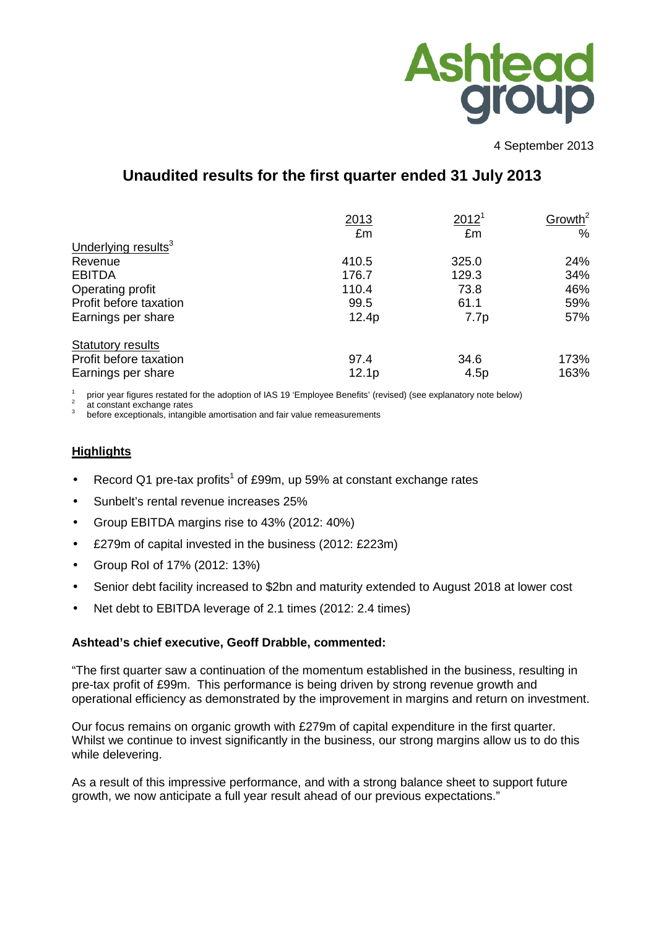

4 September 2013

# **Unaudited results for the first quarter ended 31 July 2013**

|                                 | 2013              | 2012 <sup>1</sup> | Growth <sup>2</sup> |
|---------------------------------|-------------------|-------------------|---------------------|
|                                 | £m                | £m                | $\%$                |
| Underlying results <sup>3</sup> |                   |                   |                     |
| Revenue                         | 410.5             | 325.0             | 24%                 |
| <b>EBITDA</b>                   | 176.7             | 129.3             | 34%                 |
| Operating profit                | 110.4             | 73.8              | 46%                 |
| Profit before taxation          | 99.5              | 61.1              | 59%                 |
| Earnings per share              | 12.4p             | 7.7p              | 57%                 |
| <b>Statutory results</b>        |                   |                   |                     |
| Profit before taxation          | 97.4              | 34.6              | 173%                |
| Earnings per share              | 12.1 <sub>p</sub> | 4.5p              | 163%                |

1 prior year figures restated for the adoption of IAS 19 'Employee Benefits' (revised) (see explanatory note below)

2 at constant exchange rates

3 before exceptionals, intangible amortisation and fair value remeasurements

## **Highlights**

- Record Q1 pre-tax profits<sup>1</sup> of £99m, up 59% at constant exchange rates
- Sunbelt's rental revenue increases 25%
- Group EBITDA margins rise to 43% (2012: 40%)
- £279m of capital invested in the business (2012: £223m)
- Group RoI of 17% (2012: 13%)
- Senior debt facility increased to \$2bn and maturity extended to August 2018 at lower cost
- Net debt to EBITDA leverage of 2.1 times (2012: 2.4 times)

#### **Ashtead's chief executive, Geoff Drabble, commented:**

"The first quarter saw a continuation of the momentum established in the business, resulting in pre-tax profit of £99m. This performance is being driven by strong revenue growth and operational efficiency as demonstrated by the improvement in margins and return on investment.

Our focus remains on organic growth with £279m of capital expenditure in the first quarter. Whilst we continue to invest significantly in the business, our strong margins allow us to do this while delevering.

As a result of this impressive performance, and with a strong balance sheet to support future growth, we now anticipate a full year result ahead of our previous expectations."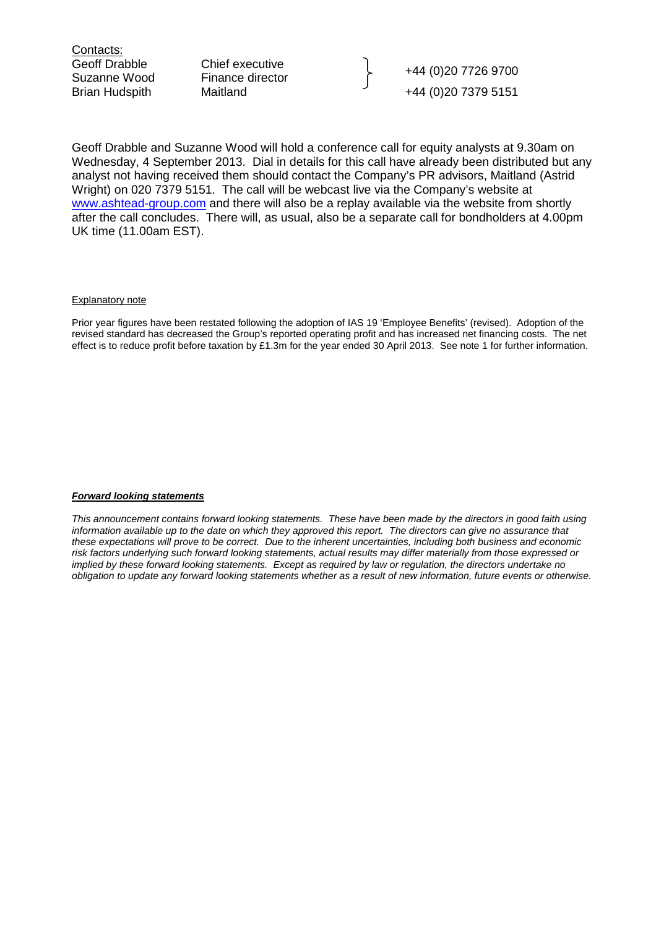Contacts:

Geoff Drabble Chief executive Change 144 (0)20 7726 9700<br>Suzanne Wood Finance director Brian Hudspith Maitland +44 (0) 20 7379 5151

Geoff Drabble and Suzanne Wood will hold a conference call for equity analysts at 9.30am on Wednesday, 4 September 2013. Dial in details for this call have already been distributed but any analyst not having received them should contact the Company's PR advisors, Maitland (Astrid Wright) on 020 7379 5151. The call will be webcast live via the Company's website at www.ashtead-group.com and there will also be a replay available via the website from shortly after the call concludes. There will, as usual, also be a separate call for bondholders at 4.00pm UK time (11.00am EST).

#### Explanatory note

Prior year figures have been restated following the adoption of IAS 19 'Employee Benefits' (revised). Adoption of the revised standard has decreased the Group's reported operating profit and has increased net financing costs. The net effect is to reduce profit before taxation by £1.3m for the year ended 30 April 2013. See note 1 for further information.

#### **Forward looking statements**

This announcement contains forward looking statements. These have been made by the directors in good faith using information available up to the date on which they approved this report. The directors can give no assurance that these expectations will prove to be correct. Due to the inherent uncertainties, including both business and economic risk factors underlying such forward looking statements, actual results may differ materially from those expressed or implied by these forward looking statements. Except as required by law or regulation, the directors undertake no obligation to update any forward looking statements whether as a result of new information, future events or otherwise.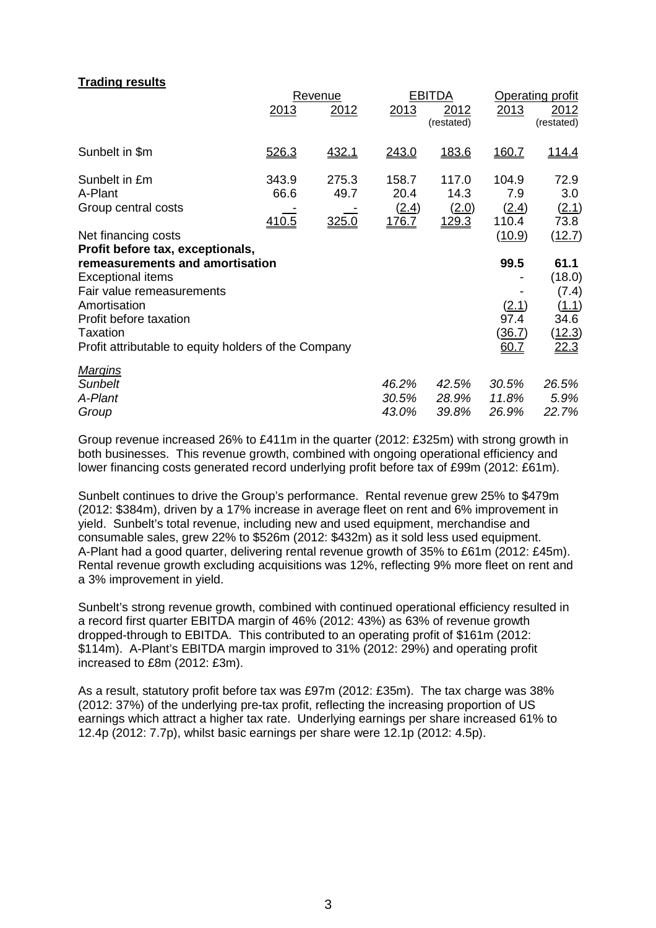#### **Trading results**

|                                                      | Revenue      |       |       | <b>EBITDA</b>      |        | Operating profit   |
|------------------------------------------------------|--------------|-------|-------|--------------------|--------|--------------------|
|                                                      | 2013         | 2012  | 2013  | 2012<br>(restated) | 2013   | 2012<br>(restated) |
| Sunbelt in \$m                                       | 526.3        | 432.1 | 243.0 | 183.6              | 160.7  | <u> 114.4</u>      |
| Sunbelt in £m                                        | 343.9        | 275.3 | 158.7 | 117.0              | 104.9  | 72.9               |
| A-Plant                                              | 66.6         | 49.7  | 20.4  | 14.3               | 7.9    | 3.0                |
| Group central costs                                  |              |       | (2.4) | (2.0)              | (2.4)  | (2.1)              |
|                                                      | <u>410.5</u> | 325.0 | 176.7 | 129.3              | 110.4  | 73.8               |
| Net financing costs                                  |              |       |       |                    | (10.9) | (12.7)             |
| Profit before tax, exceptionals,                     |              |       |       |                    |        |                    |
| remeasurements and amortisation                      |              |       |       |                    | 99.5   | 61.1               |
| <b>Exceptional items</b>                             |              |       |       |                    |        | (18.0)             |
| Fair value remeasurements                            |              |       |       |                    |        | (7.4)              |
| Amortisation                                         |              |       |       |                    | (2.1)  | (1.1)              |
| Profit before taxation                               |              |       |       |                    | 97.4   | 34.6               |
| <b>Taxation</b>                                      |              |       |       |                    | (36.7) | (12.3)             |
| Profit attributable to equity holders of the Company |              |       |       |                    | 60.7   | 22.3               |
| <u>Margins</u>                                       |              |       |       |                    |        |                    |
| <b>Sunbelt</b>                                       |              |       | 46.2% | 42.5%              | 30.5%  | 26.5%              |
| A-Plant                                              |              |       | 30.5% | 28.9%              | 11.8%  | 5.9%               |
| Group                                                |              |       | 43.0% | 39.8%              | 26.9%  | 22.7%              |

Group revenue increased 26% to £411m in the quarter (2012: £325m) with strong growth in both businesses. This revenue growth, combined with ongoing operational efficiency and lower financing costs generated record underlying profit before tax of £99m (2012: £61m).

Sunbelt continues to drive the Group's performance. Rental revenue grew 25% to \$479m (2012: \$384m), driven by a 17% increase in average fleet on rent and 6% improvement in yield. Sunbelt's total revenue, including new and used equipment, merchandise and consumable sales, grew 22% to \$526m (2012: \$432m) as it sold less used equipment. A-Plant had a good quarter, delivering rental revenue growth of 35% to £61m (2012: £45m). Rental revenue growth excluding acquisitions was 12%, reflecting 9% more fleet on rent and a 3% improvement in yield.

Sunbelt's strong revenue growth, combined with continued operational efficiency resulted in a record first quarter EBITDA margin of 46% (2012: 43%) as 63% of revenue growth dropped-through to EBITDA. This contributed to an operating profit of \$161m (2012: \$114m). A-Plant's EBITDA margin improved to 31% (2012: 29%) and operating profit increased to £8m (2012: £3m).

As a result, statutory profit before tax was £97m (2012: £35m). The tax charge was 38% (2012: 37%) of the underlying pre-tax profit, reflecting the increasing proportion of US earnings which attract a higher tax rate. Underlying earnings per share increased 61% to 12.4p (2012: 7.7p), whilst basic earnings per share were 12.1p (2012: 4.5p).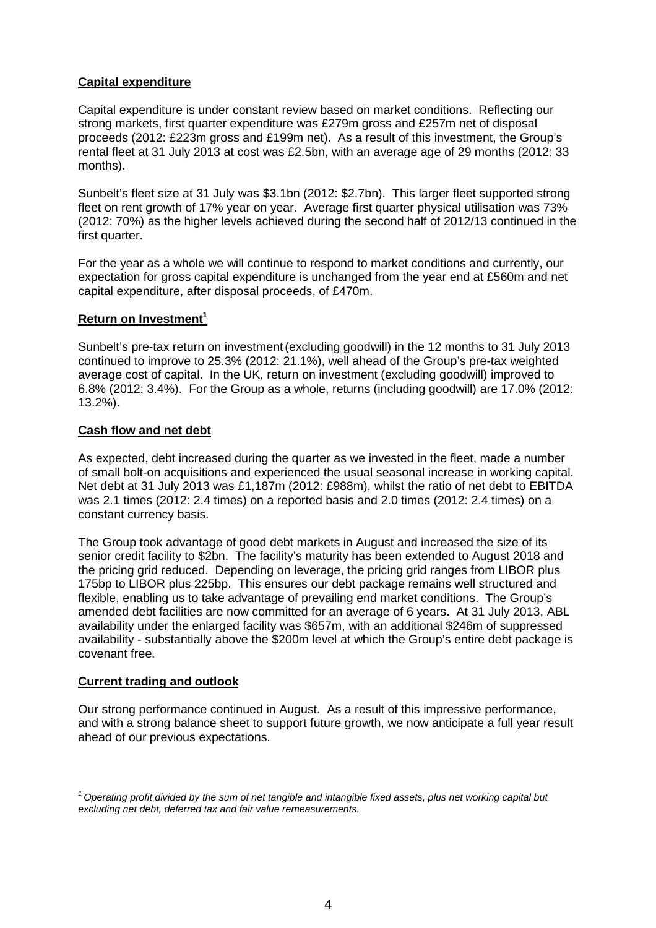## **Capital expenditure**

Capital expenditure is under constant review based on market conditions. Reflecting our strong markets, first quarter expenditure was £279m gross and £257m net of disposal proceeds (2012: £223m gross and £199m net). As a result of this investment, the Group's rental fleet at 31 July 2013 at cost was £2.5bn, with an average age of 29 months (2012: 33 months).

Sunbelt's fleet size at 31 July was \$3.1bn (2012: \$2.7bn). This larger fleet supported strong fleet on rent growth of 17% year on year. Average first quarter physical utilisation was 73% (2012: 70%) as the higher levels achieved during the second half of 2012/13 continued in the first quarter.

For the year as a whole we will continue to respond to market conditions and currently, our expectation for gross capital expenditure is unchanged from the year end at £560m and net capital expenditure, after disposal proceeds, of £470m.

#### **Return on Investment<sup>1</sup>**

Sunbelt's pre-tax return on investment(excluding goodwill) in the 12 months to 31 July 2013 continued to improve to 25.3% (2012: 21.1%), well ahead of the Group's pre-tax weighted average cost of capital. In the UK, return on investment (excluding goodwill) improved to 6.8% (2012: 3.4%). For the Group as a whole, returns (including goodwill) are 17.0% (2012: 13.2%).

#### **Cash flow and net debt**

As expected, debt increased during the quarter as we invested in the fleet, made a number of small bolt-on acquisitions and experienced the usual seasonal increase in working capital. Net debt at 31 July 2013 was £1,187m (2012: £988m), whilst the ratio of net debt to EBITDA was 2.1 times (2012: 2.4 times) on a reported basis and 2.0 times (2012: 2.4 times) on a constant currency basis.

The Group took advantage of good debt markets in August and increased the size of its senior credit facility to \$2bn. The facility's maturity has been extended to August 2018 and the pricing grid reduced. Depending on leverage, the pricing grid ranges from LIBOR plus 175bp to LIBOR plus 225bp. This ensures our debt package remains well structured and flexible, enabling us to take advantage of prevailing end market conditions. The Group's amended debt facilities are now committed for an average of 6 years. At 31 July 2013, ABL availability under the enlarged facility was \$657m, with an additional \$246m of suppressed availability - substantially above the \$200m level at which the Group's entire debt package is covenant free.

#### **Current trading and outlook**

Our strong performance continued in August. As a result of this impressive performance, and with a strong balance sheet to support future growth, we now anticipate a full year result ahead of our previous expectations.

 $1$  Operating profit divided by the sum of net tangible and intangible fixed assets, plus net working capital but excluding net debt, deferred tax and fair value remeasurements.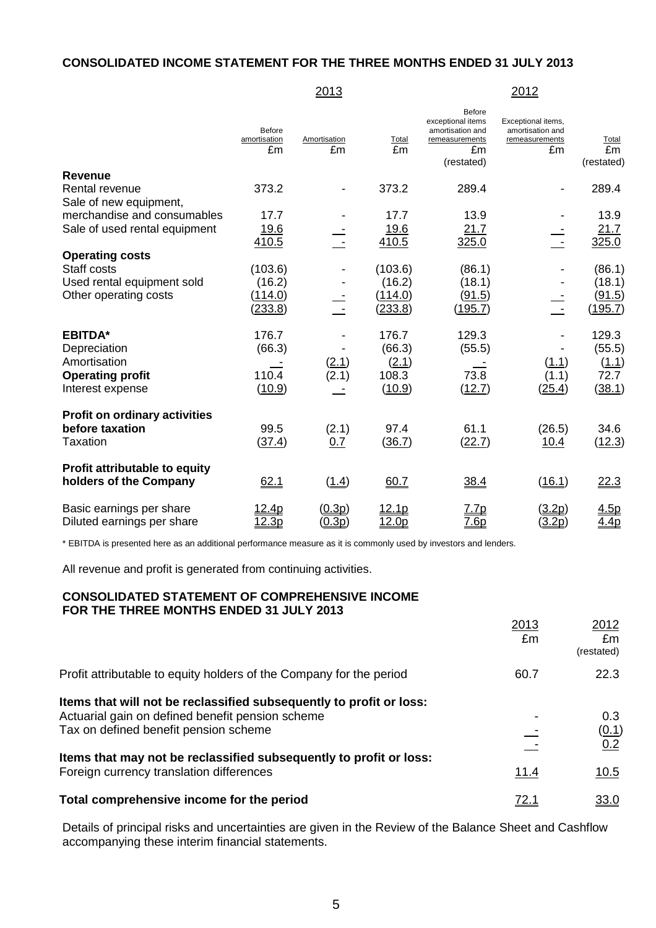#### **CONSOLIDATED INCOME STATEMENT FOR THE THREE MONTHS ENDED 31 JULY 2013**

#### 2013 2012

|                                                                | Before<br>amortisation<br>£m | Amortisation<br>£m    | Total<br>£m  | Before<br>exceptional items<br>amortisation and<br>remeasurements<br>£m<br>(restated) | Exceptional items,<br>amortisation and<br>remeasurements<br>£m | Total<br>Em<br>(restated) |
|----------------------------------------------------------------|------------------------------|-----------------------|--------------|---------------------------------------------------------------------------------------|----------------------------------------------------------------|---------------------------|
| <b>Revenue</b>                                                 |                              |                       |              |                                                                                       |                                                                |                           |
| <b>Rental revenue</b>                                          | 373.2                        |                       | 373.2        | 289.4                                                                                 |                                                                | 289.4                     |
| Sale of new equipment,                                         |                              |                       |              |                                                                                       |                                                                |                           |
| merchandise and consumables                                    | 17.7                         |                       | 17.7         | 13.9                                                                                  |                                                                | 13.9                      |
| Sale of used rental equipment                                  | 19.6                         |                       | 19.6         | 21.7                                                                                  |                                                                | 21.7                      |
|                                                                | 410.5                        |                       | 410.5        | 325.0                                                                                 |                                                                | 325.0                     |
| <b>Operating costs</b>                                         |                              |                       |              |                                                                                       |                                                                |                           |
| Staff costs                                                    | (103.6)                      |                       | (103.6)      | (86.1)                                                                                |                                                                | (86.1)                    |
| Used rental equipment sold                                     | (16.2)                       |                       | (16.2)       | (18.1)                                                                                |                                                                | (18.1)                    |
| Other operating costs                                          | (114.0)                      |                       | (114.0)      | (91.5)                                                                                |                                                                | (91.5)                    |
|                                                                | (233.8)                      |                       | (233.8)      | (195.7)                                                                               | $\sim$ $-$                                                     | (195.7)                   |
| <b>EBITDA*</b>                                                 | 176.7                        |                       | 176.7        | 129.3                                                                                 |                                                                | 129.3                     |
| Depreciation                                                   | (66.3)                       |                       | (66.3)       | (55.5)                                                                                |                                                                | (55.5)                    |
| Amortisation                                                   |                              | $\frac{(2.1)}{(2.1)}$ | (2.1)        |                                                                                       | <u>(1.1)</u>                                                   | (1.1)                     |
| <b>Operating profit</b>                                        | 110.4                        |                       | 108.3        | 73.8                                                                                  | (1.1)                                                          | 72.7                      |
| Interest expense                                               | (10.9)                       |                       | (10.9)       | (12.7)                                                                                | (25.4)                                                         | (38.1)                    |
| <b>Profit on ordinary activities</b>                           |                              |                       |              |                                                                                       |                                                                |                           |
| before taxation                                                | 99.5                         | (2.1)                 | 97.4         | 61.1                                                                                  | (26.5)                                                         | 34.6                      |
| <b>Taxation</b>                                                | (37.4)                       | 0.7                   | (36.7)       | (22.7)                                                                                | 10.4                                                           | (12.3)                    |
| <b>Profit attributable to equity</b><br>holders of the Company | 62.1                         | (1.4)                 | 60.7         | 38.4                                                                                  | (16.1)                                                         | 22.3                      |
| Basic earnings per share                                       | <u> 12.4p</u>                | (0.3p)                | <u>12.1p</u> | <u>7.7p</u>                                                                           | (3.2p)                                                         | 4.5p                      |
| Diluted earnings per share                                     | 12.3p                        | (0.3p)                | 12.0p        | 7.6p                                                                                  | (3.2p)                                                         | 4.4p                      |

\* EBITDA is presented here as an additional performance measure as it is commonly used by investors and lenders.

All revenue and profit is generated from continuing activities.

#### **CONSOLIDATED STATEMENT OF COMPREHENSIVE INCOME FOR THE THREE MONTHS ENDED 31 JULY 2013**

|                                                                                                                                                                  | 2013<br>£m  | 2012<br>£m<br>(restated) |
|------------------------------------------------------------------------------------------------------------------------------------------------------------------|-------------|--------------------------|
| Profit attributable to equity holders of the Company for the period                                                                                              | 60.7        | 22.3                     |
| Items that will not be reclassified subsequently to profit or loss:<br>Actuarial gain on defined benefit pension scheme<br>Tax on defined benefit pension scheme |             | 0.3<br>(0.1)<br>0.2      |
| Items that may not be reclassified subsequently to profit or loss:<br>Foreign currency translation differences                                                   | <u>11.4</u> | 10.5                     |
| Total comprehensive income for the period                                                                                                                        | <u>72.1</u> | <u>33.0</u>              |

Details of principal risks and uncertainties are given in the Review of the Balance Sheet and Cashflow accompanying these interim financial statements.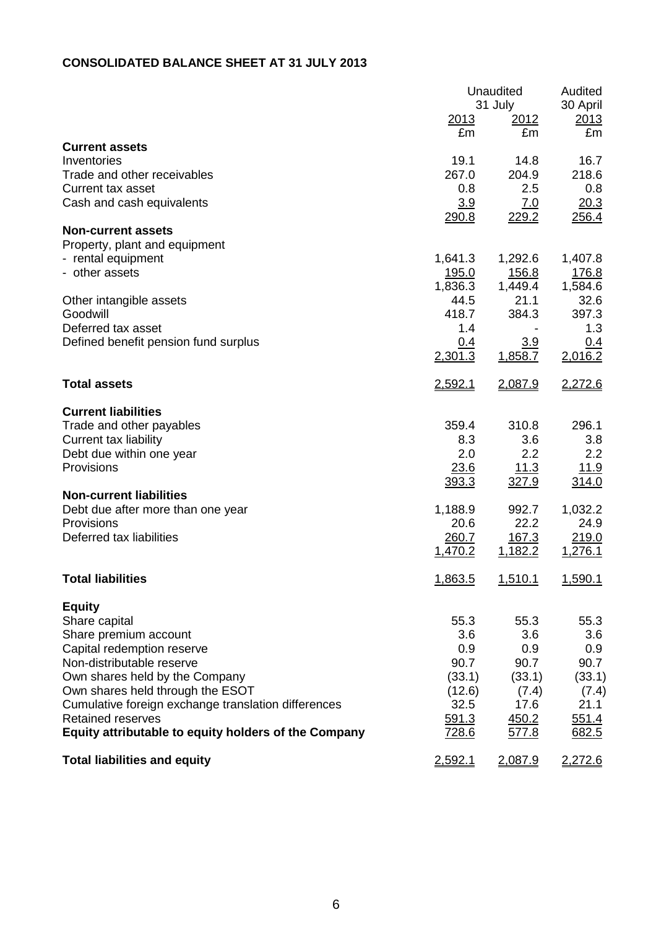## **CONSOLIDATED BALANCE SHEET AT 31 JULY 2013**

|                                                                    | <u> 2013</u>            | Unaudited<br>31 July<br><u>2012</u> | Audited<br>30 April<br>2013 |  |
|--------------------------------------------------------------------|-------------------------|-------------------------------------|-----------------------------|--|
|                                                                    | £m                      | £m                                  | £m                          |  |
| <b>Current assets</b>                                              |                         |                                     |                             |  |
| Inventories<br>Trade and other receivables                         | 19.1<br>267.0           | 14.8<br>204.9                       | 16.7<br>218.6               |  |
| Current tax asset                                                  | 0.8                     | 2.5                                 | 0.8                         |  |
| Cash and cash equivalents                                          | 3.9                     | 7.0                                 | 20.3                        |  |
|                                                                    | 290.8                   | 229.2                               | 256.4                       |  |
| <b>Non-current assets</b>                                          |                         |                                     |                             |  |
| Property, plant and equipment                                      |                         |                                     |                             |  |
| - rental equipment<br>- other assets                               | 1,641.3<br><u>195.0</u> | 1,292.6<br><u>156.8</u>             | 1,407.8<br>176.8            |  |
|                                                                    | 1,836.3                 | 1,449.4                             | 1,584.6                     |  |
| Other intangible assets                                            | 44.5                    | 21.1                                | 32.6                        |  |
| Goodwill                                                           | 418.7                   | 384.3                               | 397.3                       |  |
| Deferred tax asset                                                 | 1.4                     |                                     | 1.3                         |  |
| Defined benefit pension fund surplus                               | 0.4                     | 3.9                                 | 0.4                         |  |
|                                                                    | 2,301.3                 | 1,858.7                             | 2,016.2                     |  |
| <b>Total assets</b>                                                | 2,592.1                 | 2,087.9                             | 2,272.6                     |  |
| <b>Current liabilities</b>                                         |                         |                                     |                             |  |
| Trade and other payables                                           | 359.4                   | 310.8                               | 296.1                       |  |
| Current tax liability                                              | 8.3                     | 3.6                                 | 3.8                         |  |
| Debt due within one year                                           | 2.0                     | 2.2                                 | 2.2                         |  |
| Provisions                                                         | 23.6<br>393.3           | 11.3<br>327.9                       | <u>11.9</u><br>314.0        |  |
| <b>Non-current liabilities</b>                                     |                         |                                     |                             |  |
| Debt due after more than one year                                  | 1,188.9                 | 992.7                               | 1,032.2                     |  |
| Provisions                                                         | 20.6                    | 22.2                                | 24.9                        |  |
| Deferred tax liabilities                                           | 260.7                   | 167.3                               | 219.0                       |  |
|                                                                    | 1,470.2                 | 1,182.2                             | 1,276.1                     |  |
| <b>Total liabilities</b>                                           | 1,863.5                 | <u>1,510.1</u>                      | 1,590.1                     |  |
| <b>Equity</b>                                                      |                         |                                     |                             |  |
| Share capital                                                      | 55.3                    | 55.3                                | 55.3                        |  |
| Share premium account                                              | 3.6                     | 3.6                                 | 3.6                         |  |
| Capital redemption reserve                                         | 0.9                     | 0.9                                 | 0.9                         |  |
| Non-distributable reserve                                          | 90.7                    | 90.7                                | 90.7                        |  |
| Own shares held by the Company<br>Own shares held through the ESOT | (33.1)<br>(12.6)        | (33.1)<br>(7.4)                     | (33.1)<br>(7.4)             |  |
| Cumulative foreign exchange translation differences                | 32.5                    | 17.6                                | 21.1                        |  |
| <b>Retained reserves</b>                                           | 591.3                   | 450.2                               | 551.4                       |  |
| Equity attributable to equity holders of the Company               | <u>728.6</u>            | <u>577.8</u>                        | 682.5                       |  |
| <b>Total liabilities and equity</b>                                | 2,592.1                 | 2,087.9                             | 2,272.6                     |  |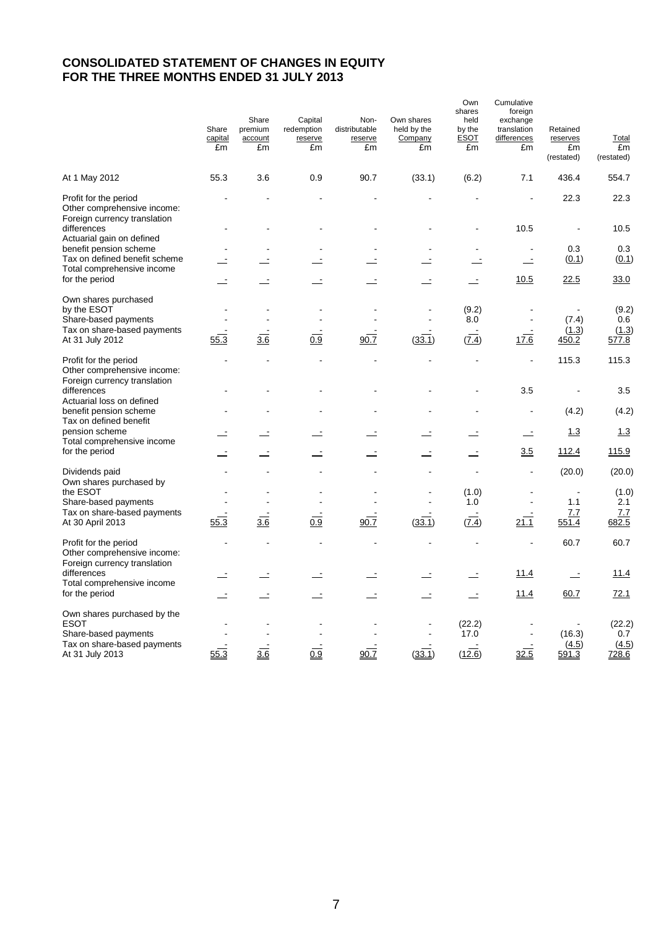## **CONSOLIDATED STATEMENT OF CHANGES IN EQUITY FOR THE THREE MONTHS ENDED 31 JULY 2013**

|                                                                                      | Share<br>capital<br>£m | Share<br>premium<br>account<br>£m | Capital<br>redemption<br>reserve<br>£m | Non-<br>distributable<br>reserve<br>£m | Own shares<br>held by the<br>Company<br>£m | Own<br>shares<br>held<br>by the<br><u>ESOT</u><br>£m | Cumulative<br>foreign<br>exchange<br>translation<br>differences<br>£m | Retained<br>reserves<br>£m<br>(restated) | <b>Total</b><br>£m<br>(restated) |
|--------------------------------------------------------------------------------------|------------------------|-----------------------------------|----------------------------------------|----------------------------------------|--------------------------------------------|------------------------------------------------------|-----------------------------------------------------------------------|------------------------------------------|----------------------------------|
| At 1 May 2012                                                                        | 55.3                   | 3.6                               | 0.9                                    | 90.7                                   | (33.1)                                     | (6.2)                                                | 7.1                                                                   | 436.4                                    | 554.7                            |
| Profit for the period<br>Other comprehensive income:<br>Foreign currency translation |                        |                                   |                                        |                                        |                                            |                                                      | $\overline{a}$                                                        | 22.3                                     | 22.3                             |
| differences<br>Actuarial gain on defined                                             |                        |                                   |                                        |                                        |                                            |                                                      | 10.5                                                                  |                                          | 10.5                             |
| benefit pension scheme                                                               |                        |                                   |                                        |                                        |                                            |                                                      | $\blacksquare$                                                        | 0.3                                      | 0.3                              |
| Tax on defined benefit scheme<br>Total comprehensive income                          |                        | Ė                                 | $\overline{\phantom{a}}$               |                                        |                                            |                                                      | $\equiv$                                                              | (0.1)                                    | (0.1)                            |
| for the period                                                                       |                        |                                   |                                        |                                        |                                            |                                                      | 10.5                                                                  | 22.5                                     | 33.0                             |
| Own shares purchased<br>by the ESOT                                                  |                        |                                   |                                        |                                        |                                            | (9.2)                                                |                                                                       |                                          | (9.2)                            |
| Share-based payments                                                                 |                        |                                   |                                        |                                        |                                            | 8.0                                                  |                                                                       | (7.4)                                    | 0.6                              |
| Tax on share-based payments<br>At 31 July 2012                                       | 55.3                   | $\frac{3.6}{3.6}$                 | 0.9                                    | 90.7                                   | (33.1)                                     | (7.4)                                                | 17.6                                                                  | (1.3)<br>450.2                           | (1.3)<br>577.8                   |
| Profit for the period<br>Other comprehensive income:<br>Foreign currency translation |                        |                                   |                                        |                                        |                                            |                                                      | $\overline{a}$                                                        | 115.3                                    | 115.3                            |
| differences<br>Actuarial loss on defined                                             |                        |                                   |                                        |                                        |                                            |                                                      | 3.5                                                                   |                                          | 3.5                              |
| benefit pension scheme<br>Tax on defined benefit                                     |                        |                                   |                                        |                                        |                                            |                                                      | ÷,                                                                    | (4.2)                                    | (4.2)                            |
| pension scheme<br>Total comprehensive income                                         |                        |                                   | $\mathbf{r}$                           |                                        |                                            |                                                      | $\equiv$                                                              | <u>1.3</u>                               | 1.3                              |
| for the period                                                                       |                        |                                   |                                        | Ė                                      | Ż,                                         |                                                      | 3.5                                                                   | 112.4                                    | 115.9                            |
| Dividends paid<br>Own shares purchased by                                            |                        |                                   |                                        |                                        |                                            | $\overline{a}$                                       | $\overline{a}$                                                        | (20.0)                                   | (20.0)                           |
| the ESOT                                                                             |                        |                                   |                                        |                                        | $\blacksquare$                             | (1.0)                                                | ÷,                                                                    | $\blacksquare$                           | (1.0)                            |
| Share-based payments                                                                 |                        |                                   |                                        |                                        |                                            | 1.0                                                  | $\blacksquare$                                                        | 1.1                                      | 2.1                              |
| Tax on share-based payments<br>At 30 April 2013                                      | 55.3                   | 3.6                               | 0.9                                    | 90.7                                   | (33.1)                                     | (7.4)                                                | 21.1                                                                  | 7.7<br>551.4                             | 7.7<br>682.5                     |
| Profit for the period<br>Other comprehensive income:<br>Foreign currency translation |                        |                                   | $\overline{a}$                         |                                        |                                            | $\overline{a}$                                       |                                                                       | 60.7                                     | 60.7                             |
| differences<br>Total comprehensive income                                            |                        | ÷.                                | $\equiv$                               |                                        | $\equiv$                                   | $\equiv$                                             | 11.4                                                                  | $\equiv$                                 | 11.4                             |
| for the period                                                                       |                        |                                   | $\equiv$                               | $\overline{\phantom{a}}$               | ÷,                                         | $\equiv$                                             | 11.4                                                                  | 60.7                                     | 72.1                             |
| Own shares purchased by the<br><b>ESOT</b><br>Share-based payments                   |                        |                                   |                                        |                                        |                                            | (22.2)<br>17.0                                       |                                                                       | (16.3)                                   | (22.2)<br>0.7                    |
| Tax on share-based payments<br>At 31 July 2013                                       | 55.3                   | 3.6                               | 0.9                                    | 90.7                                   | (33.1)                                     | (12.6)                                               | 32.5                                                                  | (4.5)<br>591.3                           | (4.5)<br>728.6                   |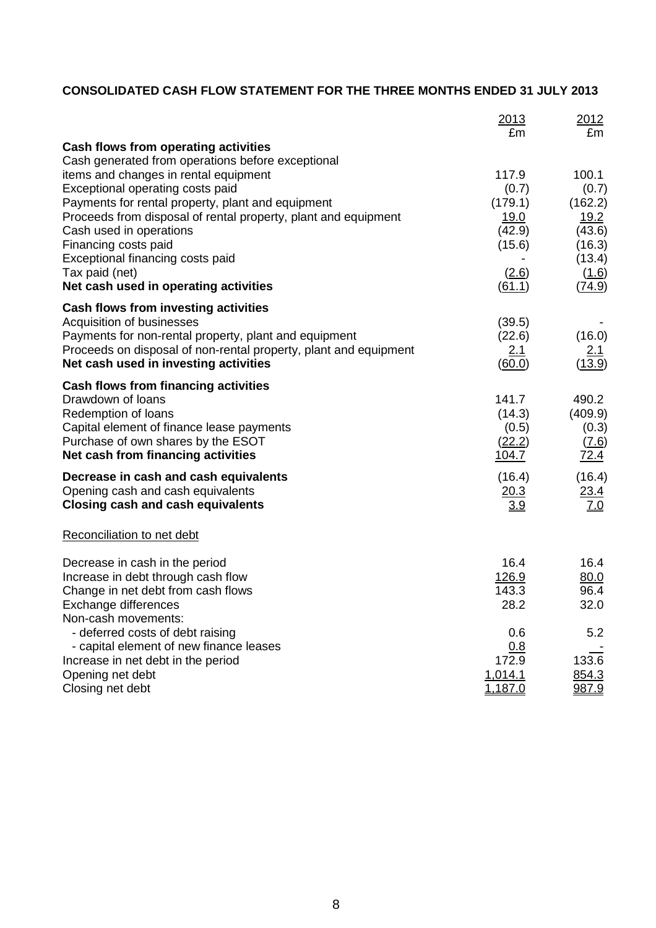## **CONSOLIDATED CASH FLOW STATEMENT FOR THE THREE MONTHS ENDED 31 JULY 2013**

|                                                                                                           | 2013<br>£m           | 2012<br>£m         |
|-----------------------------------------------------------------------------------------------------------|----------------------|--------------------|
| Cash flows from operating activities                                                                      |                      |                    |
| Cash generated from operations before exceptional                                                         |                      |                    |
| items and changes in rental equipment                                                                     | 117.9                | 100.1              |
| Exceptional operating costs paid                                                                          | (0.7)                | (0.7)              |
| Payments for rental property, plant and equipment                                                         | (179.1)              | (162.2)            |
| Proceeds from disposal of rental property, plant and equipment                                            | <u>19.0</u>          | 19.2               |
| Cash used in operations                                                                                   | (42.9)               | (43.6)             |
| Financing costs paid<br>Exceptional financing costs paid                                                  | (15.6)               | (16.3)<br>(13.4)   |
| Tax paid (net)                                                                                            | (2.6)                | (1.6)              |
| Net cash used in operating activities                                                                     | (61.1)               | (74.9)             |
| Cash flows from investing activities                                                                      |                      |                    |
| Acquisition of businesses                                                                                 | (39.5)               |                    |
| Payments for non-rental property, plant and equipment                                                     | (22.6)               | (16.0)             |
| Proceeds on disposal of non-rental property, plant and equipment<br>Net cash used in investing activities | <u>2.1</u><br>(60.0) | 2.1<br>(13.9)      |
|                                                                                                           |                      |                    |
| Cash flows from financing activities                                                                      |                      | 490.2              |
| Drawdown of loans<br>Redemption of loans                                                                  | 141.7<br>(14.3)      | (409.9)            |
| Capital element of finance lease payments                                                                 | (0.5)                | (0.3)              |
| Purchase of own shares by the ESOT                                                                        | (22.2)               | (7.6)              |
| Net cash from financing activities                                                                        | <u>104.7</u>         | <u>72.4</u>        |
| Decrease in cash and cash equivalents                                                                     | (16.4)               | (16.4)             |
| Opening cash and cash equivalents                                                                         |                      |                    |
| <b>Closing cash and cash equivalents</b>                                                                  | $\frac{20.3}{3.9}$   | $\frac{23.4}{7.0}$ |
| Reconciliation to net debt                                                                                |                      |                    |
| Decrease in cash in the period                                                                            | 16.4                 | 16.4               |
| Increase in debt through cash flow                                                                        | <u>126.9</u>         | 80.0               |
| Change in net debt from cash flows                                                                        | 143.3                | 96.4               |
| Exchange differences                                                                                      | 28.2                 | 32.0               |
| Non-cash movements:                                                                                       |                      |                    |
| - deferred costs of debt raising<br>- capital element of new finance leases                               | 0.6<br>0.8           | 5.2                |
| Increase in net debt in the period                                                                        | 172.9                | 133.6              |
| Opening net debt                                                                                          | 1,014.1              | 854.3              |
| Closing net debt                                                                                          | 1,187.0              | 987.9              |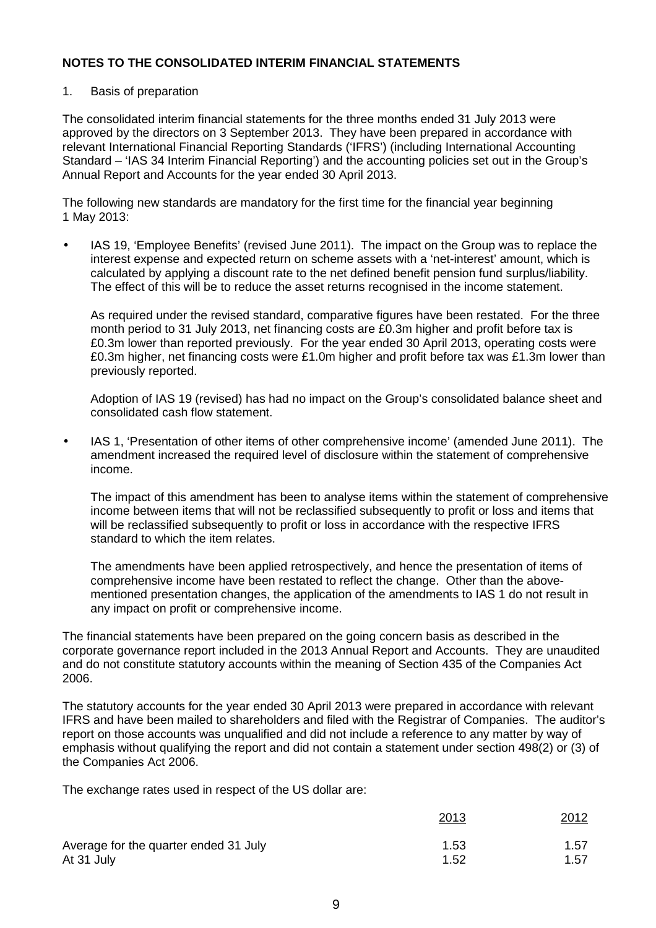#### 1. Basis of preparation

The consolidated interim financial statements for the three months ended 31 July 2013 were approved by the directors on 3 September 2013. They have been prepared in accordance with relevant International Financial Reporting Standards ('IFRS') (including International Accounting Standard – 'IAS 34 Interim Financial Reporting') and the accounting policies set out in the Group's Annual Report and Accounts for the year ended 30 April 2013.

The following new standards are mandatory for the first time for the financial year beginning 1 May 2013:

• IAS 19, 'Employee Benefits' (revised June 2011). The impact on the Group was to replace the interest expense and expected return on scheme assets with a 'net-interest' amount, which is calculated by applying a discount rate to the net defined benefit pension fund surplus/liability. The effect of this will be to reduce the asset returns recognised in the income statement.

As required under the revised standard, comparative figures have been restated. For the three month period to 31 July 2013, net financing costs are £0.3m higher and profit before tax is £0.3m lower than reported previously. For the year ended 30 April 2013, operating costs were £0.3m higher, net financing costs were £1.0m higher and profit before tax was £1.3m lower than previously reported.

Adoption of IAS 19 (revised) has had no impact on the Group's consolidated balance sheet and consolidated cash flow statement.

• IAS 1, 'Presentation of other items of other comprehensive income' (amended June 2011). The amendment increased the required level of disclosure within the statement of comprehensive income.

The impact of this amendment has been to analyse items within the statement of comprehensive income between items that will not be reclassified subsequently to profit or loss and items that will be reclassified subsequently to profit or loss in accordance with the respective IFRS standard to which the item relates.

The amendments have been applied retrospectively, and hence the presentation of items of comprehensive income have been restated to reflect the change. Other than the abovementioned presentation changes, the application of the amendments to IAS 1 do not result in any impact on profit or comprehensive income.

The financial statements have been prepared on the going concern basis as described in the corporate governance report included in the 2013 Annual Report and Accounts. They are unaudited and do not constitute statutory accounts within the meaning of Section 435 of the Companies Act 2006.

The statutory accounts for the year ended 30 April 2013 were prepared in accordance with relevant IFRS and have been mailed to shareholders and filed with the Registrar of Companies. The auditor's report on those accounts was unqualified and did not include a reference to any matter by way of emphasis without qualifying the report and did not contain a statement under section 498(2) or (3) of the Companies Act 2006.

The exchange rates used in respect of the US dollar are:

|                                       | 2013 | 2012 |
|---------------------------------------|------|------|
| Average for the quarter ended 31 July | 1.53 | 1.57 |
| At 31 July                            | 1.52 | 1.57 |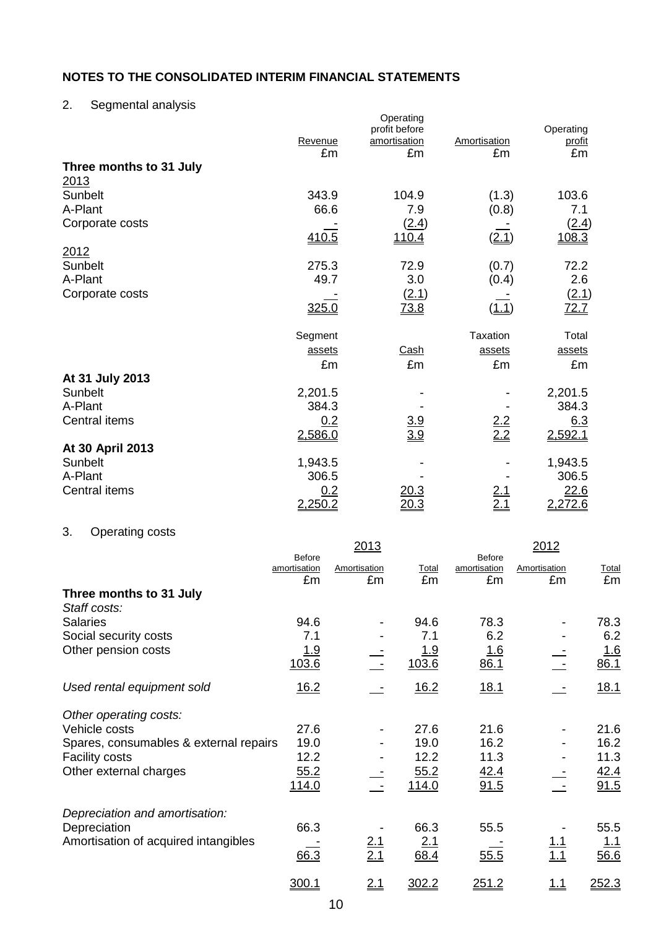# 2. Segmental analysis

|                         | Revenue<br>£m | Operating<br>profit before<br>amortisation<br>£m | Amortisation<br>£m | Operating<br>profit<br>£m |
|-------------------------|---------------|--------------------------------------------------|--------------------|---------------------------|
| Three months to 31 July |               |                                                  |                    |                           |
| 2013                    |               |                                                  |                    |                           |
| Sunbelt                 | 343.9         | 104.9                                            | (1.3)              | 103.6                     |
| A-Plant                 | 66.6          | 7.9                                              | (0.8)              | 7.1                       |
| Corporate costs         |               | (2.4)                                            |                    | (2.4)                     |
|                         | 410.5         | 110.4                                            | (2.1)              | 108.3                     |
| 2012                    |               |                                                  |                    |                           |
| Sunbelt                 | 275.3         | 72.9                                             | (0.7)              | 72.2                      |
| A-Plant                 | 49.7          | 3.0                                              | (0.4)              | 2.6                       |
| Corporate costs         |               | (2.1)                                            |                    | (2.1)                     |
|                         | 325.0         | 73.8                                             | (1.1)              | 72.7                      |
|                         | Segment       |                                                  | <b>Taxation</b>    | Total                     |
|                         | assets        | Cash                                             | assets             | assets                    |
|                         | £m            | £m                                               | £m                 | £m                        |
| At 31 July 2013         |               |                                                  |                    |                           |
| Sunbelt                 | 2,201.5       |                                                  |                    | 2,201.5                   |
| A-Plant                 | 384.3         |                                                  |                    | 384.3                     |
| Central items           | 0.2           | $\frac{3.9}{3.9}$                                | $\frac{2.2}{2.2}$  | 6.3                       |
|                         | 2,586.0       |                                                  |                    | 2,592.1                   |
| At 30 April 2013        |               |                                                  |                    |                           |
| Sunbelt                 | 1,943.5       |                                                  |                    | 1,943.5                   |
| A-Plant                 | 306.5         |                                                  |                    | 306.5                     |
| Central items           |               | 20.3                                             |                    | 22.6                      |
|                         | 2,250.2       | <u> 20.3</u>                                     |                    | 2,272.6                   |

# 3. Operating costs

|                                        |                                     | 2013               |             |                                     | 2012               |                     |
|----------------------------------------|-------------------------------------|--------------------|-------------|-------------------------------------|--------------------|---------------------|
|                                        | <b>Before</b><br>amortisation<br>£m | Amortisation<br>£m | Total<br>£m | <b>Before</b><br>amortisation<br>£m | Amortisation<br>£m | <b>Total</b><br>£m  |
| Three months to 31 July                |                                     |                    |             |                                     |                    |                     |
| Staff costs:                           |                                     |                    |             |                                     |                    |                     |
| <b>Salaries</b>                        | 94.6                                |                    | 94.6        | 78.3                                |                    | 78.3                |
| Social security costs                  | 7.1                                 |                    | 7.1         | 6.2                                 |                    | 6.2                 |
| Other pension costs                    | <u> 1.9</u>                         |                    | <u> 1.9</u> | <u> 1.6</u>                         |                    | <u>1.6</u>          |
|                                        | 103.6                               |                    | 103.6       | 86.1                                |                    | 86.1                |
| Used rental equipment sold             | 16.2                                |                    | 16.2        | <u>18.1</u>                         |                    | 18.1                |
| Other operating costs:                 |                                     |                    |             |                                     |                    |                     |
| Vehicle costs                          | 27.6                                |                    | 27.6        | 21.6                                |                    | 21.6                |
| Spares, consumables & external repairs | 19.0                                |                    | 19.0        | 16.2                                |                    | 16.2                |
| <b>Facility costs</b>                  | 12.2                                |                    | 12.2        | 11.3                                |                    | 11.3                |
| Other external charges                 | 55.2                                |                    | 55.2        | 42.4                                |                    | $\frac{42.4}{91.5}$ |
|                                        | 114.0                               |                    | 114.0       | 91.5                                |                    |                     |
| Depreciation and amortisation:         |                                     |                    |             |                                     |                    |                     |
| Depreciation                           | 66.3                                |                    | 66.3        | 55.5                                |                    | 55.5                |
| Amortisation of acquired intangibles   |                                     |                    | 2.1         |                                     |                    | <u>1.1</u>          |
|                                        | 66.3                                | $\frac{2.1}{2.1}$  | 68.4        | 55.5                                | <u>1.1</u><br>1.1  | 56.6                |
|                                        | 300.1                               | <u>2.1</u>         | 302.2       | 251.2                               | <u> 1.1</u>        | 252.3               |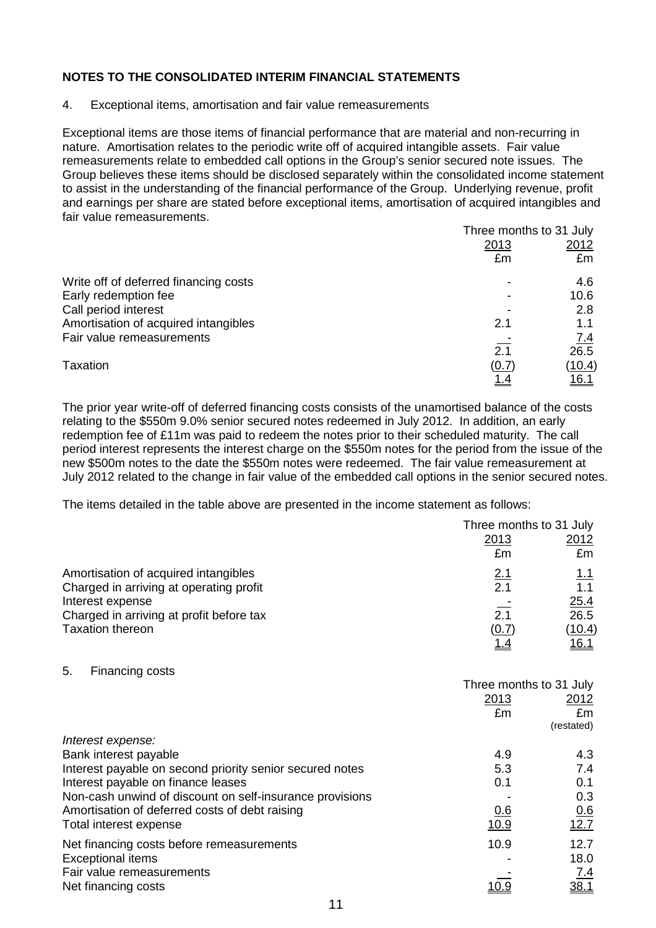4. Exceptional items, amortisation and fair value remeasurements

Exceptional items are those items of financial performance that are material and non-recurring in nature. Amortisation relates to the periodic write off of acquired intangible assets. Fair value remeasurements relate to embedded call options in the Group's senior secured note issues. The Group believes these items should be disclosed separately within the consolidated income statement to assist in the understanding of the financial performance of the Group. Underlying revenue, profit and earnings per share are stated before exceptional items, amortisation of acquired intangibles and fair value remeasurements.

|                                       |            | Three months to 31 July |
|---------------------------------------|------------|-------------------------|
|                                       | 2013       | 2012                    |
|                                       | £m         | £m                      |
| Write off of deferred financing costs |            | 4.6                     |
| Early redemption fee                  |            | 10.6                    |
| Call period interest                  |            | 2.8                     |
| Amortisation of acquired intangibles  | 2.1        | 1.1                     |
| Fair value remeasurements             |            | 7.4                     |
|                                       | 2.1        | 26.5                    |
| Taxation                              | (0.7)      | <u>(10.4)</u>           |
|                                       | <u>1.4</u> | 16.1                    |

The prior year write-off of deferred financing costs consists of the unamortised balance of the costs relating to the \$550m 9.0% senior secured notes redeemed in July 2012. In addition, an early redemption fee of £11m was paid to redeem the notes prior to their scheduled maturity. The call period interest represents the interest charge on the \$550m notes for the period from the issue of the new \$500m notes to the date the \$550m notes were redeemed. The fair value remeasurement at July 2012 related to the change in fair value of the embedded call options in the senior secured notes.

The items detailed in the table above are presented in the income statement as follows:

|                                                          | Three months to 31 July |                     |  |
|----------------------------------------------------------|-------------------------|---------------------|--|
|                                                          | 2013                    | <u> 2012 </u>       |  |
|                                                          | £m                      | £m                  |  |
| Amortisation of acquired intangibles                     | <u>2.1</u>              | $\frac{1.1}{1.1}$   |  |
| Charged in arriving at operating profit                  | 2.1                     |                     |  |
| Interest expense                                         |                         | $\frac{25.4}{26.5}$ |  |
| Charged in arriving at profit before tax                 | 2.1                     |                     |  |
| <b>Taxation thereon</b>                                  | (0.7)                   | (10.4)              |  |
|                                                          | <u> 1.4</u>             | <u>16.1</u>         |  |
| 5.<br>Financing costs                                    |                         |                     |  |
|                                                          | Three months to 31 July |                     |  |
|                                                          | 2013                    | <u> 2012 </u>       |  |
|                                                          | £m                      | £m                  |  |
|                                                          |                         | (restated)          |  |
| Interest expense:                                        |                         |                     |  |
| Bank interest payable                                    | 4.9                     | 4.3                 |  |
| Interest payable on second priority senior secured notes | 5.3                     | 7.4                 |  |
| Interest payable on finance leases                       | 0.1                     | 0.1                 |  |

| <u>INCICSLOGYADIC UN INIGHUE ICASCS</u>                  | ν. ι | v. I        |
|----------------------------------------------------------|------|-------------|
| Non-cash unwind of discount on self-insurance provisions |      | 0.3         |
| Amortisation of deferred costs of debt raising           | 0.6  | 0.6         |
| Total interest expense                                   | 10.9 | 12.7        |
| Net financing costs before remeasurements                | 10.9 | 12.7        |
| <b>Exceptional items</b>                                 |      | 18.0        |
| Fair value remeasurements                                |      | <u>7.4</u>  |
| Net financing costs                                      | 10.9 | <u>38.1</u> |
|                                                          |      |             |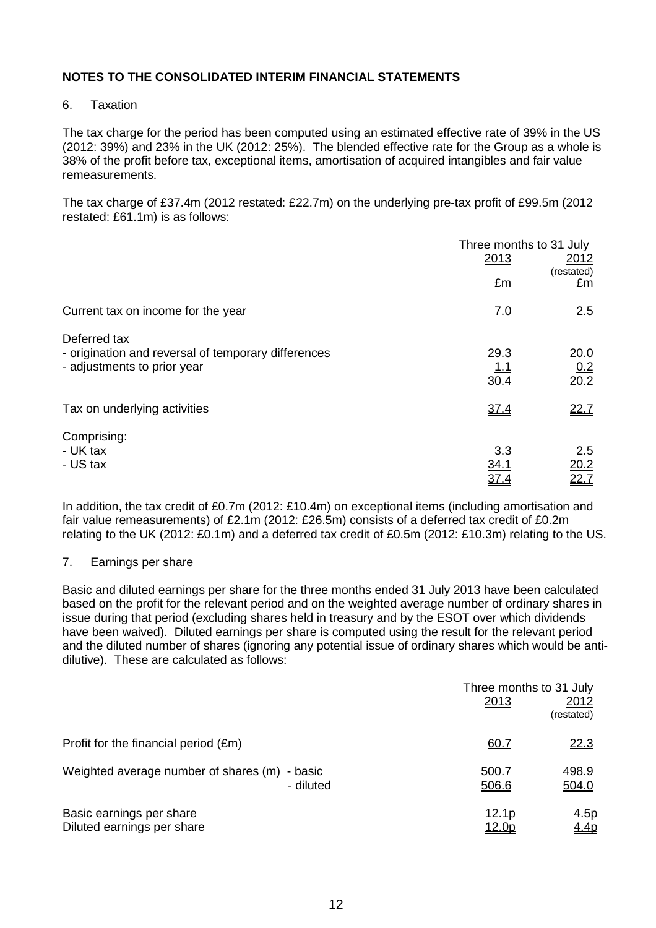#### 6. Taxation

The tax charge for the period has been computed using an estimated effective rate of 39% in the US (2012: 39%) and 23% in the UK (2012: 25%). The blended effective rate for the Group as a whole is 38% of the profit before tax, exceptional items, amortisation of acquired intangibles and fair value remeasurements.

The tax charge of £37.4m (2012 restated: £22.7m) on the underlying pre-tax profit of £99.5m (2012 restated: £61.1m) is as follows:

|                                                                                                    | 2013                       | Three months to 31 July<br>2012 |
|----------------------------------------------------------------------------------------------------|----------------------------|---------------------------------|
|                                                                                                    | £m                         | (restated)<br>£m                |
| Current tax on income for the year                                                                 | 7.0                        | 2.5                             |
| Deferred tax<br>- origination and reversal of temporary differences<br>- adjustments to prior year | 29.3<br><u>1.1</u><br>30.4 | 20.0<br>$\frac{0.2}{20.2}$      |
| Tax on underlying activities                                                                       | 37.4                       | 22.7                            |
| Comprising:<br>- UK tax<br>- US tax                                                                | 3.3<br><u>34.1</u><br>37.4 | 2.5<br>$\frac{20.2}{22.7}$      |

In addition, the tax credit of £0.7m (2012: £10.4m) on exceptional items (including amortisation and fair value remeasurements) of £2.1m (2012: £26.5m) consists of a deferred tax credit of £0.2m relating to the UK (2012: £0.1m) and a deferred tax credit of £0.5m (2012: £10.3m) relating to the US.

#### 7. Earnings per share

Basic and diluted earnings per share for the three months ended 31 July 2013 have been calculated based on the profit for the relevant period and on the weighted average number of ordinary shares in issue during that period (excluding shares held in treasury and by the ESOT over which dividends have been waived). Diluted earnings per share is computed using the result for the relevant period and the diluted number of shares (ignoring any potential issue of ordinary shares which would be antidilutive). These are calculated as follows:

|                                                        |           |                                | Three months to 31 July |
|--------------------------------------------------------|-----------|--------------------------------|-------------------------|
|                                                        |           | 2013                           | 2012<br>(restated)      |
| Profit for the financial period (£m)                   |           | <u>60.7</u>                    | <u>22.3</u>             |
| Weighted average number of shares (m) - basic          | - diluted | 500.7<br>506.6                 | 498.9<br>504.0          |
| Basic earnings per share<br>Diluted earnings per share |           | <u> 12.1p</u><br><u> 12.0p</u> | <u>4.5p</u><br>4.4p     |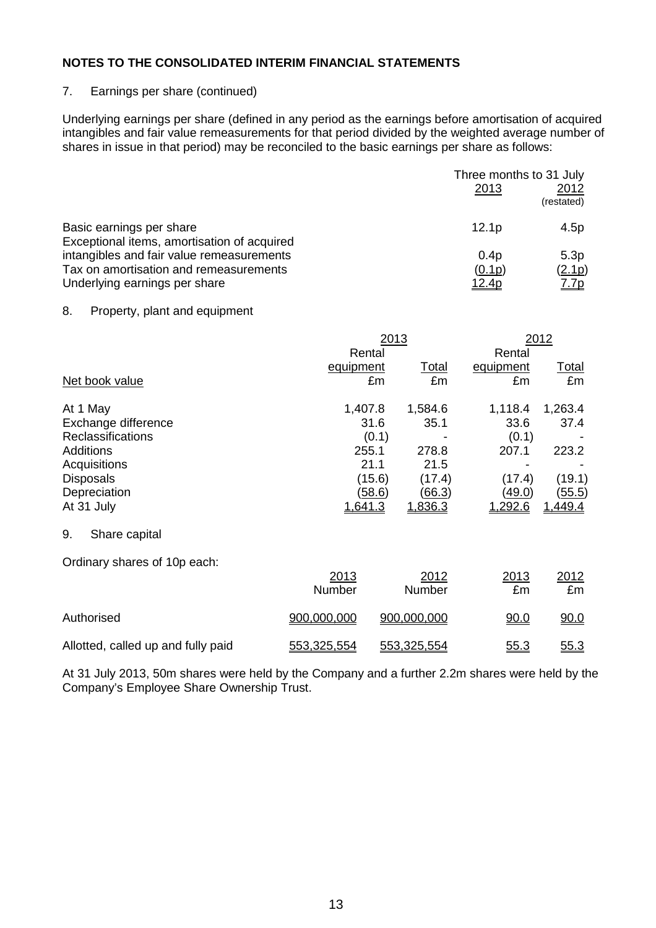#### 7. Earnings per share (continued)

Underlying earnings per share (defined in any period as the earnings before amortisation of acquired intangibles and fair value remeasurements for that period divided by the weighted average number of shares in issue in that period) may be reconciled to the basic earnings per share as follows:

|                                             | Three months to 31 July<br>2013 | 2012<br>(restated) |
|---------------------------------------------|---------------------------------|--------------------|
| Basic earnings per share                    | 12.1 <sub>p</sub>               | 4.5p               |
| Exceptional items, amortisation of acquired |                                 |                    |
| intangibles and fair value remeasurements   | 0.4 <sub>p</sub>                | 5.3p               |
| Tax on amortisation and remeasurements      | (0.1p)                          | (2.1p)             |
| Underlying earnings per share               | <u>12.4p</u>                    | <u>7.7p</u>        |

#### 8. Property, plant and equipment

|                                    |                | 2013             |                | 2012         |
|------------------------------------|----------------|------------------|----------------|--------------|
|                                    |                | Rental           |                |              |
|                                    | equipment      | <u>Total</u>     | equipment      | <u>Total</u> |
| Net book value                     |                | £m<br>£m         | £m             | £m           |
| At 1 May                           | 1,407.8        | 1,584.6          | 1,118.4        | 1,263.4      |
| Exchange difference                |                | 35.1<br>31.6     | 33.6           | 37.4         |
| <b>Reclassifications</b>           |                | (0.1)            | (0.1)          |              |
| <b>Additions</b>                   |                | 255.1<br>278.8   | 207.1          | 223.2        |
| Acquisitions                       |                | 21.1<br>21.5     |                |              |
| <b>Disposals</b>                   |                | (15.6)<br>(17.4) | (17.4)         | (19.1)       |
| Depreciation                       |                | (58.6)<br>(66.3) | <u>(49.0)</u>  | (55.5)       |
| At 31 July                         | <u>1,641.3</u> | 1,836.3          | <u>1,292.6</u> | 1,449.4      |
| 9.<br>Share capital                |                |                  |                |              |
| Ordinary shares of 10p each:       |                |                  |                |              |
|                                    | 2013           | 2012             | 2013           | 2012         |
|                                    | Number         | Number           | £m             | £m           |
| Authorised                         | 900,000,000    | 900,000,000      | 90.0           | 90.0         |
| Allotted, called up and fully paid | 553,325,554    | 553,325,554      | 55.3           | 55.3         |

At 31 July 2013, 50m shares were held by the Company and a further 2.2m shares were held by the Company's Employee Share Ownership Trust.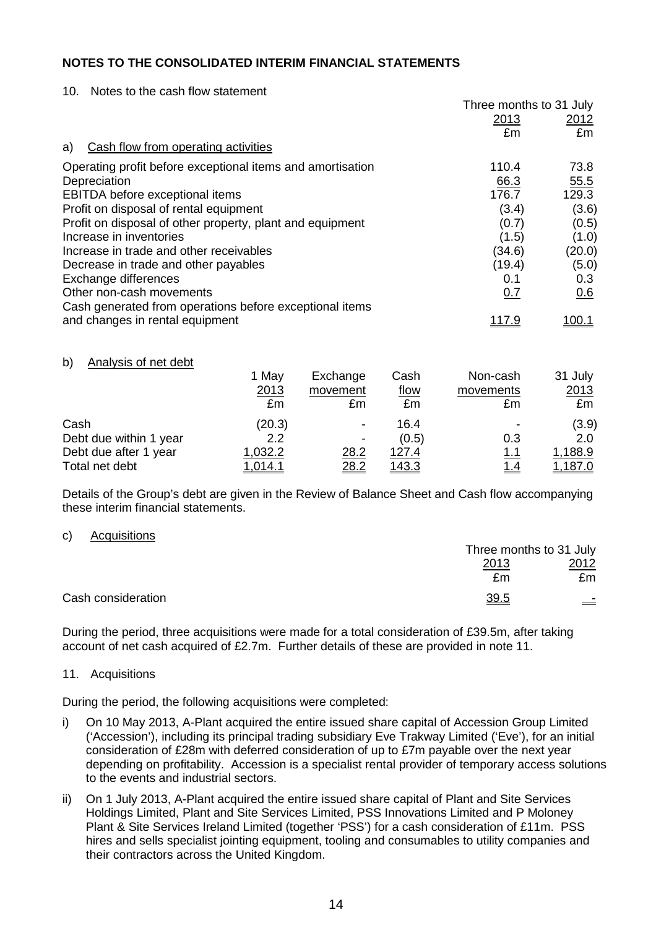10. Notes to the cash flow statement

|                                                            | Three months to 31 July |               |
|------------------------------------------------------------|-------------------------|---------------|
|                                                            | 2013                    | 2012          |
|                                                            | £m                      | £m            |
| Cash flow from operating activities<br>a)                  |                         |               |
| Operating profit before exceptional items and amortisation | 110.4                   | 73.8          |
| Depreciation                                               | 66.3                    | 55.5          |
| EBITDA before exceptional items                            | 176.7                   | 129.3         |
| Profit on disposal of rental equipment                     | (3.4)                   | (3.6)         |
| Profit on disposal of other property, plant and equipment  | (0.7)                   | (0.5)         |
| Increase in inventories                                    | (1.5)                   | (1.0)         |
| Increase in trade and other receivables                    | (34.6)                  | (20.0)        |
| Decrease in trade and other payables                       | (19.4)                  | (5.0)         |
| Exchange differences                                       | 0.1                     | 0.3           |
| Other non-cash movements                                   | 0.7                     | 0.6           |
| Cash generated from operations before exceptional items    |                         |               |
| and changes in rental equipment                            | <u> 117.9</u>           | <u> 100.1</u> |

#### b) Analysis of net debt

|                        | 1 May<br>2013<br>£m | Exchange<br>movement<br>£m | Cash<br><u>flow</u><br>£m | Non-cash<br>movements<br>£m | 31 July<br>2013<br>£m |
|------------------------|---------------------|----------------------------|---------------------------|-----------------------------|-----------------------|
| Cash                   | (20.3)              |                            | 16.4                      |                             | (3.9)                 |
| Debt due within 1 year | 2.2                 |                            | (0.5)                     | 0.3                         | 2.0                   |
| Debt due after 1 year  | 1,032.2             | 28.2                       | <u>127.4</u>              | <u>1.1</u>                  | 1,188.9               |
| Total net debt         | 1,014.1             | 28.2                       | <u>143.3</u>              | <u>1.4</u>                  | <u>1.187.0</u>        |

Details of the Group's debt are given in the Review of Balance Sheet and Cash flow accompanying these interim financial statements.

#### c) Acquisitions

|                    |      | Three months to 31 July |  |  |  |
|--------------------|------|-------------------------|--|--|--|
|                    | 2013 | 2012                    |  |  |  |
|                    | £m   | £m                      |  |  |  |
| Cash consideration | 39.5 | $\equiv$                |  |  |  |

During the period, three acquisitions were made for a total consideration of £39.5m, after taking account of net cash acquired of £2.7m. Further details of these are provided in note 11.

#### 11. Acquisitions

During the period, the following acquisitions were completed:

- i) On 10 May 2013, A-Plant acquired the entire issued share capital of Accession Group Limited ('Accession'), including its principal trading subsidiary Eve Trakway Limited ('Eve'), for an initial consideration of £28m with deferred consideration of up to £7m payable over the next year depending on profitability. Accession is a specialist rental provider of temporary access solutions to the events and industrial sectors.
- ii) On 1 July 2013, A-Plant acquired the entire issued share capital of Plant and Site Services Holdings Limited, Plant and Site Services Limited, PSS Innovations Limited and P Moloney Plant & Site Services Ireland Limited (together 'PSS') for a cash consideration of £11m. PSS hires and sells specialist jointing equipment, tooling and consumables to utility companies and their contractors across the United Kingdom.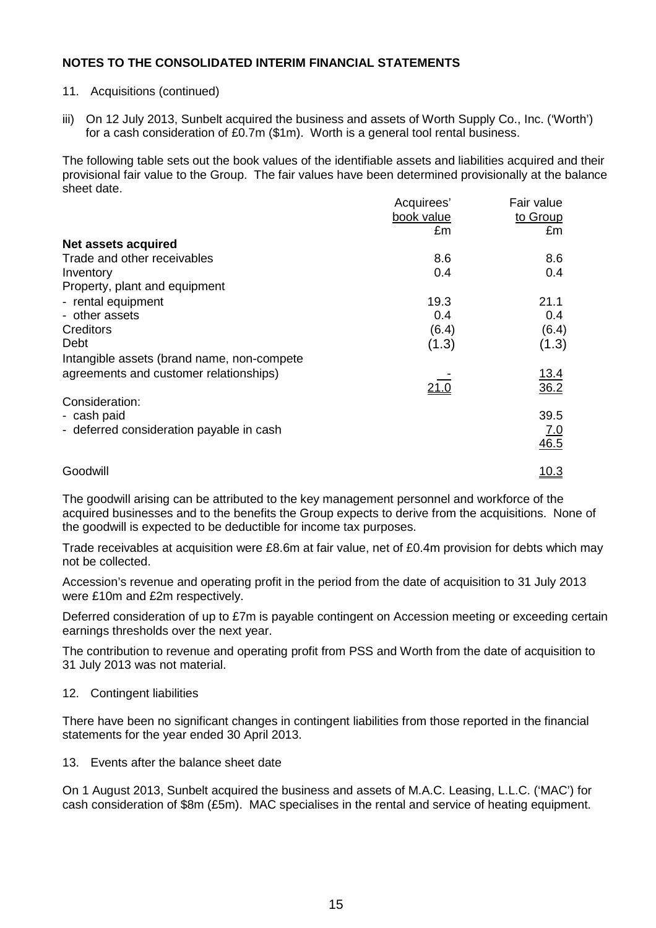- 11. Acquisitions (continued)
- iii) On 12 July 2013, Sunbelt acquired the business and assets of Worth Supply Co., Inc. ('Worth') for a cash consideration of £0.7m (\$1m). Worth is a general tool rental business.

The following table sets out the book values of the identifiable assets and liabilities acquired and their provisional fair value to the Group. The fair values have been determined provisionally at the balance sheet date.

|                                            | Acquirees'   | Fair value         |
|--------------------------------------------|--------------|--------------------|
|                                            | book value   | to Group           |
|                                            | £m           | £m                 |
| <b>Net assets acquired</b>                 |              |                    |
| Trade and other receivables                | 8.6          | 8.6                |
| Inventory                                  | 0.4          | 0.4                |
| Property, plant and equipment              |              |                    |
| - rental equipment                         | 19.3         | 21.1               |
| - other assets                             | 0.4          | 0.4                |
| Creditors                                  | (6.4)        | (6.4)              |
| Debt                                       | (1.3)        | (1.3)              |
| Intangible assets (brand name, non-compete |              |                    |
| agreements and customer relationships)     |              | <u>13.4</u>        |
|                                            | <u> 21.0</u> | $\overline{36.2}$  |
| Consideration:                             |              |                    |
| - cash paid                                |              | 39.5               |
| - deferred consideration payable in cash   |              |                    |
|                                            |              | $\frac{7.0}{46.5}$ |
| Goodwill                                   |              | <u> 10.3</u>       |
|                                            |              |                    |

The goodwill arising can be attributed to the key management personnel and workforce of the acquired businesses and to the benefits the Group expects to derive from the acquisitions. None of the goodwill is expected to be deductible for income tax purposes.

Trade receivables at acquisition were £8.6m at fair value, net of £0.4m provision for debts which may not be collected.

Accession's revenue and operating profit in the period from the date of acquisition to 31 July 2013 were £10m and £2m respectively.

Deferred consideration of up to £7m is payable contingent on Accession meeting or exceeding certain earnings thresholds over the next year.

The contribution to revenue and operating profit from PSS and Worth from the date of acquisition to 31 July 2013 was not material.

#### 12. Contingent liabilities

There have been no significant changes in contingent liabilities from those reported in the financial statements for the year ended 30 April 2013.

#### 13. Events after the balance sheet date

On 1 August 2013, Sunbelt acquired the business and assets of M.A.C. Leasing, L.L.C. ('MAC') for cash consideration of \$8m (£5m). MAC specialises in the rental and service of heating equipment.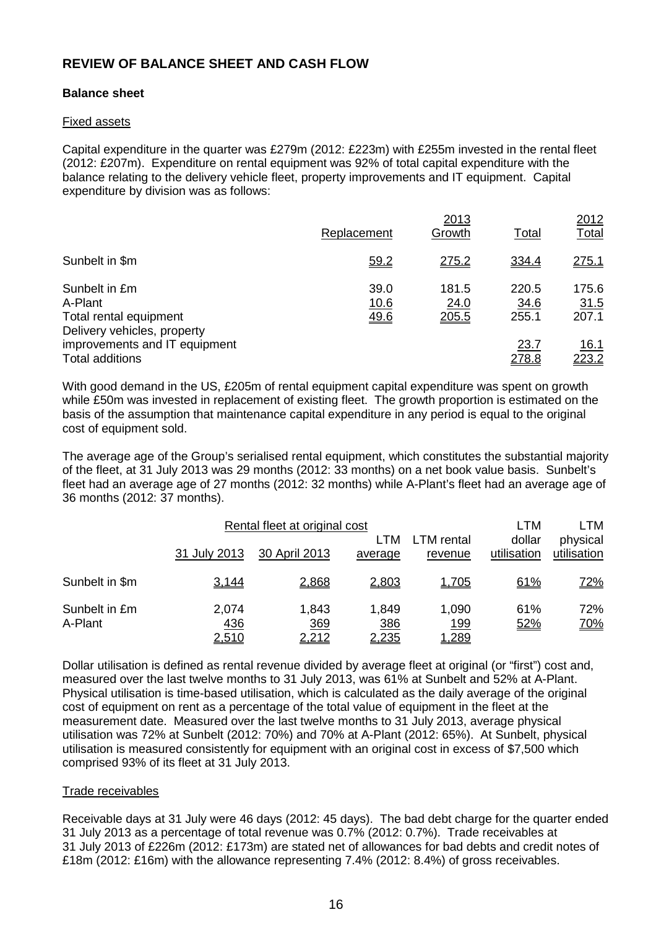## **REVIEW OF BALANCE SHEET AND CASH FLOW**

#### **Balance sheet**

#### Fixed assets

Capital expenditure in the quarter was £279m (2012: £223m) with £255m invested in the rental fleet (2012: £207m). Expenditure on rental equipment was 92% of total capital expenditure with the balance relating to the delivery vehicle fleet, property improvements and IT equipment. Capital expenditure by division was as follows:

|                                                                                   | Replacement                 | 2013<br>Growth         | <b>Total</b>           | 2012<br><b>Total</b>   |
|-----------------------------------------------------------------------------------|-----------------------------|------------------------|------------------------|------------------------|
| Sunbelt in \$m                                                                    | 59.2                        | 275.2                  | 334.4                  | <u>275.1</u>           |
| Sunbelt in £m<br>A-Plant<br>Total rental equipment<br>Delivery vehicles, property | 39.0<br><u>10.6</u><br>49.6 | 181.5<br>24.0<br>205.5 | 220.5<br>34.6<br>255.1 | 175.6<br>31.5<br>207.1 |
| improvements and IT equipment<br><b>Total additions</b>                           |                             |                        | 23.7<br>278.8          | <u> 16.1</u><br>223.2  |

With good demand in the US, £205m of rental equipment capital expenditure was spent on growth while £50m was invested in replacement of existing fleet. The growth proportion is estimated on the basis of the assumption that maintenance capital expenditure in any period is equal to the original cost of equipment sold.

The average age of the Group's serialised rental equipment, which constitutes the substantial majority of the fleet, at 31 July 2013 was 29 months (2012: 33 months) on a net book value basis. Sunbelt's fleet had an average age of 27 months (2012: 32 months) while A-Plant's fleet had an average age of 36 months (2012: 37 months).

|                          |                              | Rental fleet at original cost |                       |                                      | LTM                   | LTM                     |
|--------------------------|------------------------------|-------------------------------|-----------------------|--------------------------------------|-----------------------|-------------------------|
|                          | 31 July 2013                 | 30 April 2013                 | LTM<br>average        | <b>LTM</b> rental<br>revenue         | dollar<br>utilisation | physical<br>utilisation |
| Sunbelt in \$m           | 3,144                        | 2,868                         | 2,803                 | 1,705                                | 61%                   | <u>72%</u>              |
| Sunbelt in £m<br>A-Plant | 2,074<br><u>436</u><br>2,510 | 1,843<br>369<br>2,212         | 1,849<br>386<br>2,235 | 1,090<br><u> 199</u><br><u>1,289</u> | 61%<br>52%            | 72%<br><u>70%</u>       |

Dollar utilisation is defined as rental revenue divided by average fleet at original (or "first") cost and, measured over the last twelve months to 31 July 2013, was 61% at Sunbelt and 52% at A-Plant. Physical utilisation is time-based utilisation, which is calculated as the daily average of the original cost of equipment on rent as a percentage of the total value of equipment in the fleet at the measurement date. Measured over the last twelve months to 31 July 2013, average physical utilisation was 72% at Sunbelt (2012: 70%) and 70% at A-Plant (2012: 65%). At Sunbelt, physical utilisation is measured consistently for equipment with an original cost in excess of \$7,500 which comprised 93% of its fleet at 31 July 2013.

#### Trade receivables

Receivable days at 31 July were 46 days (2012: 45 days). The bad debt charge for the quarter ended 31 July 2013 as a percentage of total revenue was 0.7% (2012: 0.7%). Trade receivables at 31 July 2013 of £226m (2012: £173m) are stated net of allowances for bad debts and credit notes of £18m (2012: £16m) with the allowance representing 7.4% (2012: 8.4%) of gross receivables.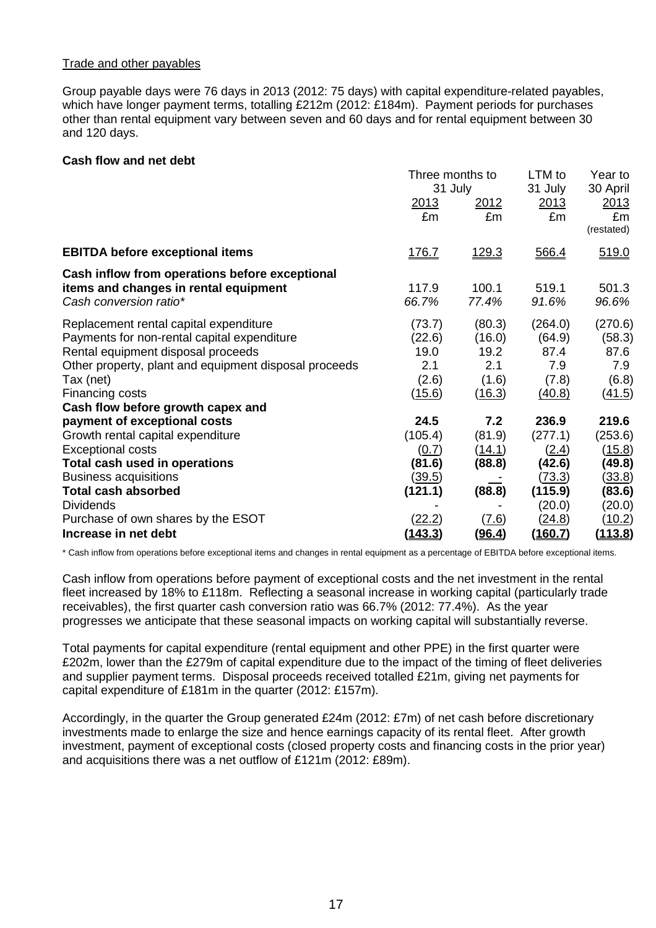#### Trade and other payables

Group payable days were 76 days in 2013 (2012: 75 days) with capital expenditure-related payables, which have longer payment terms, totalling £212m (2012: £184m). Payment periods for purchases other than rental equipment vary between seven and 60 days and for rental equipment between 30 and 120 days.

#### **Cash flow and net debt**

|                                                       | Three months to |               | LTM to         | Year to        |
|-------------------------------------------------------|-----------------|---------------|----------------|----------------|
|                                                       | 31 July         |               | 31 July        | 30 April       |
|                                                       | 2013            | 2012          | 2013           | 2013           |
|                                                       | £m              | £m            | £m             | £m             |
|                                                       |                 |               |                | (restated)     |
| <b>EBITDA before exceptional items</b>                | <u>176.7</u>    | <u> 129.3</u> | 566.4          | 519.0          |
| Cash inflow from operations before exceptional        |                 |               |                |                |
| items and changes in rental equipment                 | 117.9           | 100.1         | 519.1          | 501.3          |
| Cash conversion ratio*                                | 66.7%           | 77.4%         | 91.6%          | 96.6%          |
| Replacement rental capital expenditure                | (73.7)          | (80.3)        | (264.0)        | (270.6)        |
| Payments for non-rental capital expenditure           | (22.6)          | (16.0)        | (64.9)         | (58.3)         |
| Rental equipment disposal proceeds                    | 19.0            | 19.2          | 87.4           | 87.6           |
| Other property, plant and equipment disposal proceeds | 2.1             | 2.1           | 7.9            | 7.9            |
| Tax (net)                                             | (2.6)           | (1.6)         | (7.8)          | (6.8)          |
| Financing costs                                       | (15.6)          | (16.3)        | (40.8)         | (41.5)         |
| Cash flow before growth capex and                     |                 |               |                |                |
| payment of exceptional costs                          | 24.5            | 7.2           | 236.9          | 219.6          |
| Growth rental capital expenditure                     | (105.4)         | (81.9)        | (277.1)        | (253.6)        |
| <b>Exceptional costs</b>                              | (0.7)           | <u>(14.1)</u> | (2.4)          | (15.8)         |
| Total cash used in operations                         | (81.6)          | (88.8)        | (42.6)         | (49.8)         |
| <b>Business acquisitions</b>                          | <u>(39.5)</u>   |               | (73.3)         | (33.8)         |
| <b>Total cash absorbed</b>                            | (121.1)         | (88.8)        | (115.9)        | (83.6)         |
| <b>Dividends</b>                                      |                 |               | (20.0)         | (20.0)         |
| Purchase of own shares by the ESOT                    | <u>(22.2)</u>   | (7.6)         | <u>(24.8)</u>  | (10.2)         |
| Increase in net debt                                  | <u>(143.3)</u>  | <u>(96.4)</u> | <u>(160.7)</u> | <u>(113.8)</u> |

\* Cash inflow from operations before exceptional items and changes in rental equipment as a percentage of EBITDA before exceptional items.

Cash inflow from operations before payment of exceptional costs and the net investment in the rental fleet increased by 18% to £118m. Reflecting a seasonal increase in working capital (particularly trade receivables), the first quarter cash conversion ratio was 66.7% (2012: 77.4%). As the year progresses we anticipate that these seasonal impacts on working capital will substantially reverse.

Total payments for capital expenditure (rental equipment and other PPE) in the first quarter were £202m, lower than the £279m of capital expenditure due to the impact of the timing of fleet deliveries and supplier payment terms. Disposal proceeds received totalled £21m, giving net payments for capital expenditure of £181m in the quarter (2012: £157m).

Accordingly, in the quarter the Group generated £24m (2012: £7m) of net cash before discretionary investments made to enlarge the size and hence earnings capacity of its rental fleet. After growth investment, payment of exceptional costs (closed property costs and financing costs in the prior year) and acquisitions there was a net outflow of £121m (2012: £89m).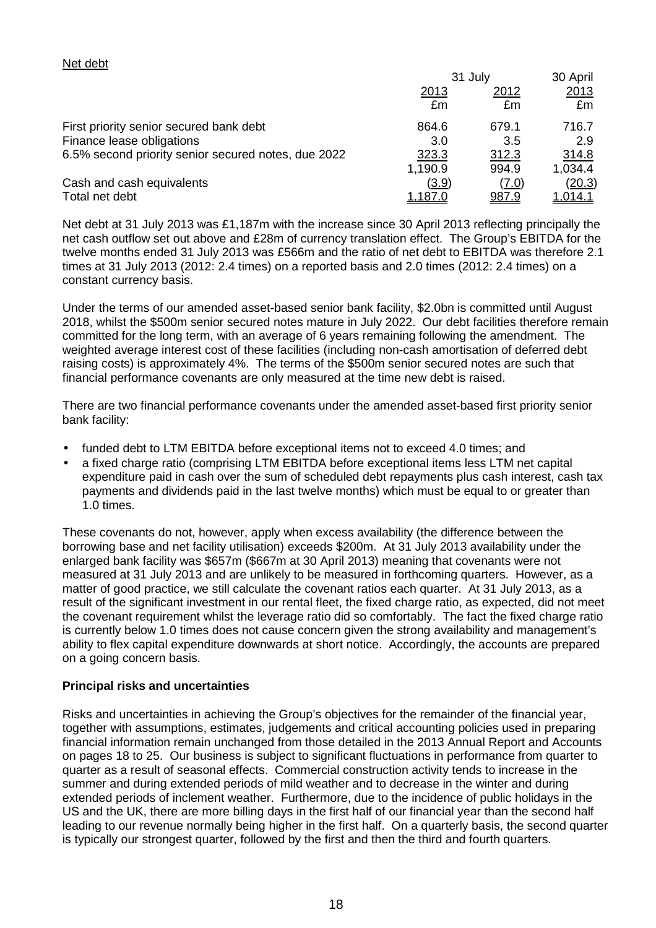#### Net debt

|                                                     | 31 July        |              | 30 April       |
|-----------------------------------------------------|----------------|--------------|----------------|
|                                                     | <u> 2013</u>   | 2012         | 2013           |
|                                                     | £m             | £m           | £m             |
| First priority senior secured bank debt             | 864.6          | 679.1        | 716.7          |
| Finance lease obligations                           | 3.0            | 3.5          | 2.9            |
| 6.5% second priority senior secured notes, due 2022 | 323.3          | 312.3        | 314.8          |
|                                                     | 1,190.9        | 994.9        | 1,034.4        |
| Cash and cash equivalents                           | (3.9)          | (7.0)        | (20.3)         |
| Total net debt                                      | <u>1.187.0</u> | <u>987.9</u> | <u>1.014.1</u> |

Net debt at 31 July 2013 was £1,187m with the increase since 30 April 2013 reflecting principally the net cash outflow set out above and £28m of currency translation effect. The Group's EBITDA for the twelve months ended 31 July 2013 was £566m and the ratio of net debt to EBITDA was therefore 2.1 times at 31 July 2013 (2012: 2.4 times) on a reported basis and 2.0 times (2012: 2.4 times) on a constant currency basis.

Under the terms of our amended asset-based senior bank facility, \$2.0bn is committed until August 2018, whilst the \$500m senior secured notes mature in July 2022. Our debt facilities therefore remain committed for the long term, with an average of 6 years remaining following the amendment. The weighted average interest cost of these facilities (including non-cash amortisation of deferred debt raising costs) is approximately 4%. The terms of the \$500m senior secured notes are such that financial performance covenants are only measured at the time new debt is raised.

There are two financial performance covenants under the amended asset-based first priority senior bank facility:

- funded debt to LTM EBITDA before exceptional items not to exceed 4.0 times; and
- a fixed charge ratio (comprising LTM EBITDA before exceptional items less LTM net capital expenditure paid in cash over the sum of scheduled debt repayments plus cash interest, cash tax payments and dividends paid in the last twelve months) which must be equal to or greater than 1.0 times.

These covenants do not, however, apply when excess availability (the difference between the borrowing base and net facility utilisation) exceeds \$200m. At 31 July 2013 availability under the enlarged bank facility was \$657m (\$667m at 30 April 2013) meaning that covenants were not measured at 31 July 2013 and are unlikely to be measured in forthcoming quarters. However, as a matter of good practice, we still calculate the covenant ratios each quarter. At 31 July 2013, as a result of the significant investment in our rental fleet, the fixed charge ratio, as expected, did not meet the covenant requirement whilst the leverage ratio did so comfortably. The fact the fixed charge ratio is currently below 1.0 times does not cause concern given the strong availability and management's ability to flex capital expenditure downwards at short notice. Accordingly, the accounts are prepared on a going concern basis.

#### **Principal risks and uncertainties**

Risks and uncertainties in achieving the Group's objectives for the remainder of the financial year, together with assumptions, estimates, judgements and critical accounting policies used in preparing financial information remain unchanged from those detailed in the 2013 Annual Report and Accounts on pages 18 to 25. Our business is subject to significant fluctuations in performance from quarter to quarter as a result of seasonal effects. Commercial construction activity tends to increase in the summer and during extended periods of mild weather and to decrease in the winter and during extended periods of inclement weather. Furthermore, due to the incidence of public holidays in the US and the UK, there are more billing days in the first half of our financial year than the second half leading to our revenue normally being higher in the first half. On a quarterly basis, the second quarter is typically our strongest quarter, followed by the first and then the third and fourth quarters.